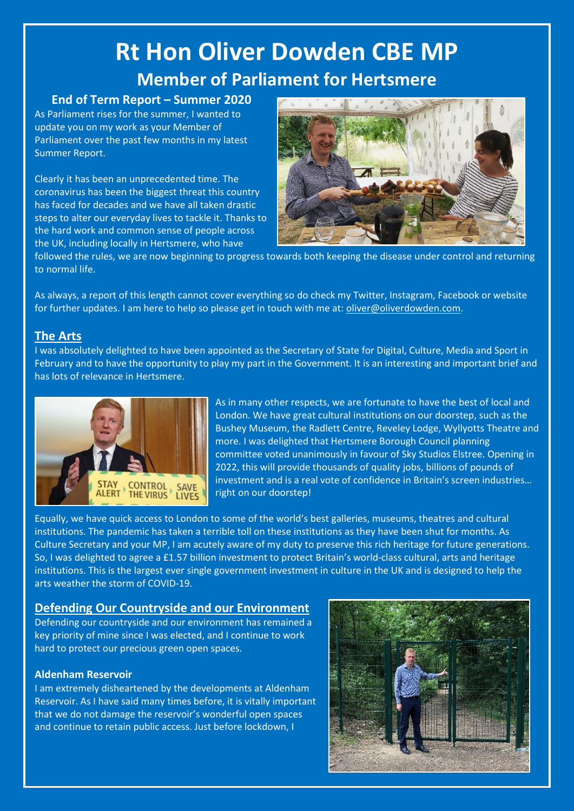# **Rt Hon Oliver Dowden CBE MP Member of Parliament for Hertsmere**

# **End of Term Report – Summer 2020**

As Parliament rises for the summer, I wanted to update you on my work as your Member of Parliament over the past few months in my latest Summer Report.

Clearly it has been an unprecedented time. The coronavirus has been the biggest threat this country has faced for decades and we have all taken drastic steps to alter our everyday lives to tackle it. Thanks to the hard work and common sense of people across the UK, including locally in Hertsmere, who have



followed the rules, we are now beginning to progress towards both keeping the disease under control and returning to normal life.

As always, a report of this length cannot cover everything so do check my Twitter, Instagram, Facebook or website for further updates. I am here to help so please get in touch with me at: [oliver@oliverdowden.com.](mailto:oliver@oliverdowden.com)

## **The Arts**

I was absolutely delighted to have been appointed as the Secretary of State for Digital, Culture, Media and Sport in February and to have the opportunity to play my part in the Government. It is an interesting and important brief and has lots of relevance in Hertsmere.



As in many other respects, we are fortunate to have the best of local and London. We have great cultural institutions on our doorstep, such as the Bushey Museum, the Radlett Centre, Reveley Lodge, Wyllyotts Theatre and more. I was delighted that Hertsmere Borough Council planning committee voted unanimously in favour of Sky Studios Elstree. Opening in 2022, this will provide thousands of quality jobs, billions of pounds of investment and is a real vote of confidence in Britain's screen industries… right on our doorstep!

Equally, we have quick access to London to some of the world's best galleries, museums, theatres and cultural institutions. The pandemic has taken a terrible toll on these institutions as they have been shut for months. As Culture Secretary and your MP, I am acutely aware of my duty to preserve this rich heritage for future generations. So, I was delighted to agree a £1.57 billion investment to protect Britain's world-class cultural, arts and heritage institutions. This is the largest ever single government investment in culture in the UK and is designed to help the arts weather the storm of COVID-19.

## **Defending Our Countryside and our Environment**

Defending our countryside and our environment has remained a key priority of mine since I was elected, and I continue to work hard to protect our precious green open spaces.

#### **Aldenham Reservoir**

I am extremely disheartened by the developments at Aldenham Reservoir. As I have said many times before, it is vitally important that we do not damage the reservoir's wonderful open spaces and continue to retain public access. Just before lockdown, I

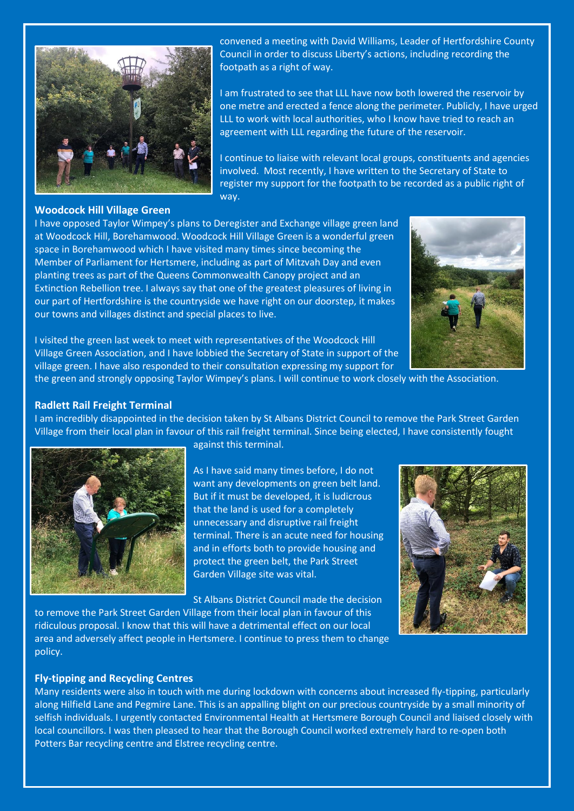

convened a meeting with David Williams, Leader of Hertfordshire County Council in order to discuss Liberty's actions, including recording the footpath as a right of way.

I am frustrated to see that LLL have now both lowered the reservoir by one metre and erected a fence along the perimeter. Publicly, I have urged LLL to work with local authorities, who I know have tried to reach an agreement with LLL regarding the future of the reservoir.

I continue to liaise with relevant local groups, constituents and agencies involved. Most recently, I have written to the Secretary of State to register my support for the footpath to be recorded as a public right of way.

#### **Woodcock Hill Village Green**

I have opposed Taylor Wimpey's plans to Deregister and Exchange village green land at Woodcock Hill, Borehamwood. Woodcock Hill Village Green is a wonderful green space in Borehamwood which I have visited many times since becoming the Member of Parliament for Hertsmere, including as part of Mitzvah Day and even planting trees as part of the Queens Commonwealth Canopy project and an Extinction Rebellion tree. I always say that one of the greatest pleasures of living in our part of Hertfordshire is the countryside we have right on our doorstep, it makes our towns and villages distinct and special places to live.



I visited the green last week to meet with representatives of the Woodcock Hill Village Green Association, and I have lobbied the Secretary of State in support of the village green. I have also responded to their consultation expressing my support for

the green and strongly opposing Taylor Wimpey's plans. I will continue to work closely with the Association.

#### **Radlett Rail Freight Terminal**

I am incredibly disappointed in the decision taken by St Albans District Council to remove the Park Street Garden Village from their local plan in favour of this rail freight terminal. Since being elected, I have consistently fought



against this terminal.

As I have said many times before, I do not want any developments on green belt land. But if it must be developed, it is ludicrous that the land is used for a completely unnecessary and disruptive rail freight terminal. There is an acute need for housing and in efforts both to provide housing and protect the green belt, the Park Street Garden Village site was vital.

St Albans District Council made the decision

to remove the Park Street Garden Village from their local plan in favour of this ridiculous proposal. I know that this will have a detrimental effect on our local area and adversely affect people in Hertsmere. I continue to press them to change policy.



#### **Fly-tipping and Recycling Centres**

Many residents were also in touch with me during lockdown with concerns about increased fly-tipping, particularly along Hilfield Lane and Pegmire Lane. This is an appalling blight on our precious countryside by a small minority of selfish individuals. I urgently contacted Environmental Health at Hertsmere Borough Council and liaised closely with local councillors. I was then pleased to hear that the Borough Council worked extremely hard to re-open both Potters Bar recycling centre and Elstree recycling centre.